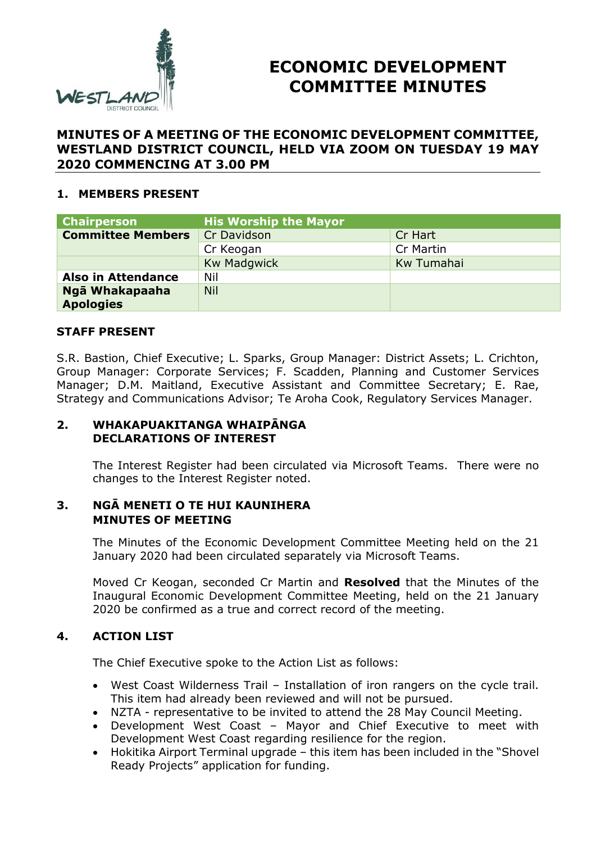

# **ECONOMIC DEVELOPMENT COMMITTEE MINUTES**

# **MINUTES OF A MEETING OF THE ECONOMIC DEVELOPMENT COMMITTEE, WESTLAND DISTRICT COUNCIL, HELD VIA ZOOM ON TUESDAY 19 MAY 2020 COMMENCING AT 3.00 PM**

## **1. MEMBERS PRESENT**

| <b>Chairperson</b>        | <b>His Worship the Mayor</b> |            |
|---------------------------|------------------------------|------------|
| <b>Committee Members</b>  | Cr Davidson                  | Cr Hart    |
|                           | Cr Keogan                    | Cr Martin  |
|                           | <b>Kw Madgwick</b>           | Kw Tumahai |
| <b>Also in Attendance</b> | Nil                          |            |
| Ngā Whakapaaha            | <b>Nil</b>                   |            |
| <b>Apologies</b>          |                              |            |

# **STAFF PRESENT**

S.R. Bastion, Chief Executive; L. Sparks, Group Manager: District Assets; L. Crichton, Group Manager: Corporate Services; F. Scadden, Planning and Customer Services Manager; D.M. Maitland, Executive Assistant and Committee Secretary; E. Rae, Strategy and Communications Advisor; Te Aroha Cook, Regulatory Services Manager.

### **2. WHAKAPUAKITANGA WHAIPĀNGA DECLARATIONS OF INTEREST**

The Interest Register had been circulated via Microsoft Teams. There were no changes to the Interest Register noted.

### **3. NGĀ MENETI O TE HUI KAUNIHERA MINUTES OF MEETING**

The Minutes of the Economic Development Committee Meeting held on the 21 January 2020 had been circulated separately via Microsoft Teams.

Moved Cr Keogan, seconded Cr Martin and **Resolved** that the Minutes of the Inaugural Economic Development Committee Meeting, held on the 21 January 2020 be confirmed as a true and correct record of the meeting.

### **4. ACTION LIST**

The Chief Executive spoke to the Action List as follows:

- West Coast Wilderness Trail Installation of iron rangers on the cycle trail. This item had already been reviewed and will not be pursued.
- NZTA representative to be invited to attend the 28 May Council Meeting.
- Development West Coast Mayor and Chief Executive to meet with Development West Coast regarding resilience for the region.
- Hokitika Airport Terminal upgrade this item has been included in the "Shovel Ready Projects" application for funding.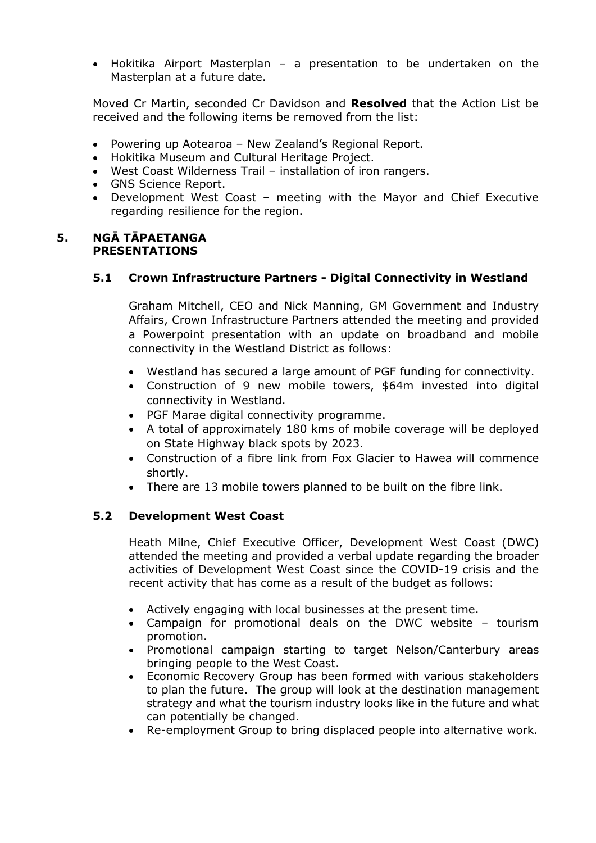Hokitika Airport Masterplan – a presentation to be undertaken on the Masterplan at a future date.

Moved Cr Martin, seconded Cr Davidson and **Resolved** that the Action List be received and the following items be removed from the list:

- Powering up Aotearoa New Zealand's Regional Report.
- Hokitika Museum and Cultural Heritage Project.
- West Coast Wilderness Trail installation of iron rangers.
- GNS Science Report.
- Development West Coast meeting with the Mayor and Chief Executive regarding resilience for the region.

#### **5. NGĀ TĀPAETANGA PRESENTATIONS**

### **5.1 Crown Infrastructure Partners - Digital Connectivity in Westland**

Graham Mitchell, CEO and Nick Manning, GM Government and Industry Affairs, Crown Infrastructure Partners attended the meeting and provided a Powerpoint presentation with an update on broadband and mobile connectivity in the Westland District as follows:

- Westland has secured a large amount of PGF funding for connectivity.
- Construction of 9 new mobile towers, \$64m invested into digital connectivity in Westland.
- PGF Marae digital connectivity programme.
- A total of approximately 180 kms of mobile coverage will be deployed on State Highway black spots by 2023.
- Construction of a fibre link from Fox Glacier to Hawea will commence shortly.
- There are 13 mobile towers planned to be built on the fibre link.

### **5.2 Development West Coast**

Heath Milne, Chief Executive Officer, Development West Coast (DWC) attended the meeting and provided a verbal update regarding the broader activities of Development West Coast since the COVID-19 crisis and the recent activity that has come as a result of the budget as follows:

- Actively engaging with local businesses at the present time.
- Campaign for promotional deals on the DWC website tourism promotion.
- Promotional campaign starting to target Nelson/Canterbury areas bringing people to the West Coast.
- Economic Recovery Group has been formed with various stakeholders to plan the future. The group will look at the destination management strategy and what the tourism industry looks like in the future and what can potentially be changed.
- Re-employment Group to bring displaced people into alternative work.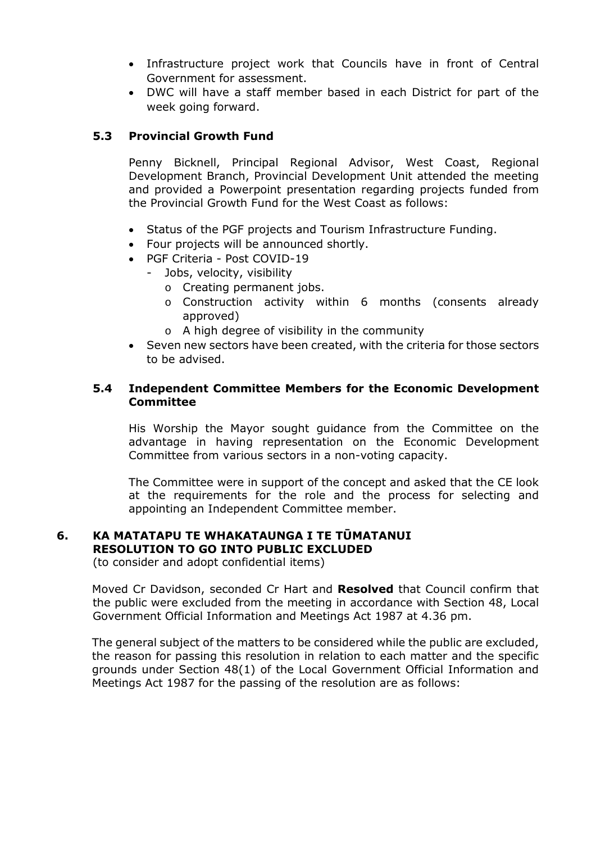- Infrastructure project work that Councils have in front of Central Government for assessment.
- DWC will have a staff member based in each District for part of the week going forward.

# **5.3 Provincial Growth Fund**

Penny Bicknell, Principal Regional Advisor, West Coast, Regional Development Branch, Provincial Development Unit attended the meeting and provided a Powerpoint presentation regarding projects funded from the Provincial Growth Fund for the West Coast as follows:

- Status of the PGF projects and Tourism Infrastructure Funding.
- Four projects will be announced shortly.
- PGF Criteria Post COVID-19
	- Jobs, velocity, visibility
		- o Creating permanent jobs.
		- o Construction activity within 6 months (consents already approved)
		- o A high degree of visibility in the community
- Seven new sectors have been created, with the criteria for those sectors to be advised.

### **5.4 Independent Committee Members for the Economic Development Committee**

His Worship the Mayor sought guidance from the Committee on the advantage in having representation on the Economic Development Committee from various sectors in a non-voting capacity.

The Committee were in support of the concept and asked that the CE look at the requirements for the role and the process for selecting and appointing an Independent Committee member.

#### **6. KA MATATAPU TE WHAKATAUNGA I TE TŪMATANUI RESOLUTION TO GO INTO PUBLIC EXCLUDED**

(to consider and adopt confidential items)

Moved Cr Davidson, seconded Cr Hart and **Resolved** that Council confirm that the public were excluded from the meeting in accordance with Section 48, Local Government Official Information and Meetings Act 1987 at 4.36 pm.

The general subject of the matters to be considered while the public are excluded, the reason for passing this resolution in relation to each matter and the specific grounds under Section 48(1) of the Local Government Official Information and Meetings Act 1987 for the passing of the resolution are as follows: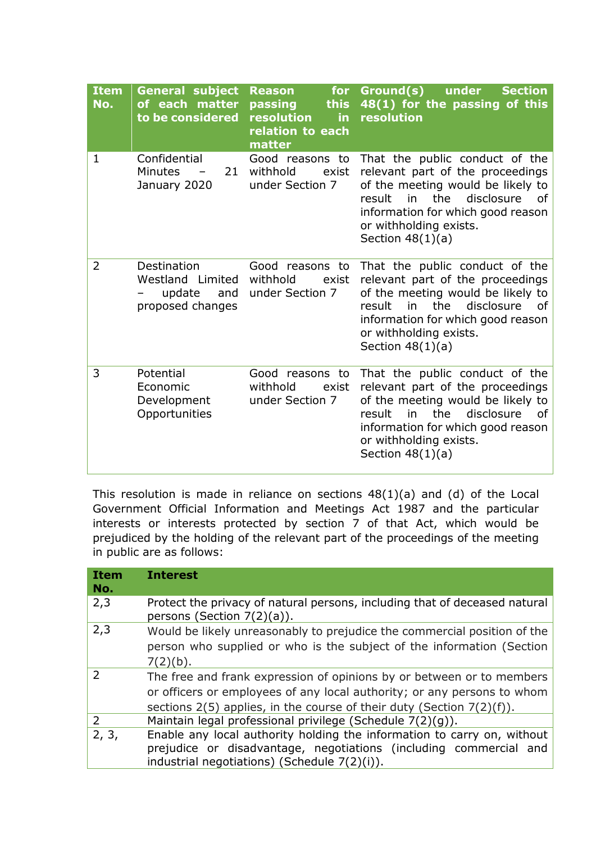| <b>Item</b><br>No. | <b>General subject</b><br>of each matter<br>to be considered         | for<br><b>Reason</b><br>passing<br>this<br>resolution<br>in.<br>relation to each<br>matter | Ground(s)<br>under<br><b>Section</b><br>48(1) for the passing of this<br>resolution                                                                                                                                                            |
|--------------------|----------------------------------------------------------------------|--------------------------------------------------------------------------------------------|------------------------------------------------------------------------------------------------------------------------------------------------------------------------------------------------------------------------------------------------|
| $\mathbf{1}$       | Confidential<br><b>Minutes</b><br>21<br>January 2020                 | Good reasons to<br>withhold<br>exist<br>under Section 7                                    | That the public conduct of the<br>relevant part of the proceedings<br>of the meeting would be likely to<br>the<br>disclosure<br>result<br>in<br>οf<br>information for which good reason<br>or withholding exists.<br>Section $48(1)(a)$        |
| $\overline{2}$     | Destination<br>Westland Limited<br>update<br>and<br>proposed changes | Good reasons to<br>withhold<br>exist<br>under Section 7                                    | That the public conduct of the<br>relevant part of the proceedings<br>of the meeting would be likely to<br>disclosure<br>the<br>result<br>in<br>Ωf<br>information for which good reason<br>or withholding exists.<br>Section $48(1)(a)$        |
| 3                  | Potential<br>Economic<br>Development<br>Opportunities                | Good reasons to<br>withhold<br>exist<br>under Section 7                                    | That the public conduct of the<br>relevant part of the proceedings<br>of the meeting would be likely to<br>the<br>disclosure<br>result<br><i>in</i><br>0f<br>information for which good reason<br>or withholding exists.<br>Section $48(1)(a)$ |

This resolution is made in reliance on sections 48(1)(a) and (d) of the Local Government Official Information and Meetings Act 1987 and the particular interests or interests protected by section 7 of that Act, which would be prejudiced by the holding of the relevant part of the proceedings of the meeting in public are as follows:

| <b>Item</b><br>No. | <b>Interest</b>                                                                                                                                                                                                                |
|--------------------|--------------------------------------------------------------------------------------------------------------------------------------------------------------------------------------------------------------------------------|
| 2,3                | Protect the privacy of natural persons, including that of deceased natural<br>persons (Section $7(2)(a)$ ).                                                                                                                    |
| 2,3                | Would be likely unreasonably to prejudice the commercial position of the<br>person who supplied or who is the subject of the information (Section<br>$7(2)(b)$ .                                                               |
| $\mathcal{P}$      | The free and frank expression of opinions by or between or to members<br>or officers or employees of any local authority; or any persons to whom<br>sections $2(5)$ applies, in the course of their duty (Section $7(2)(f)$ ). |
| 2                  | Maintain legal professional privilege (Schedule 7(2)(g)).                                                                                                                                                                      |
| 2, 3,              | Enable any local authority holding the information to carry on, without<br>prejudice or disadvantage, negotiations (including commercial and<br>industrial negotiations) (Schedule $7(2)(i)$ ).                                |